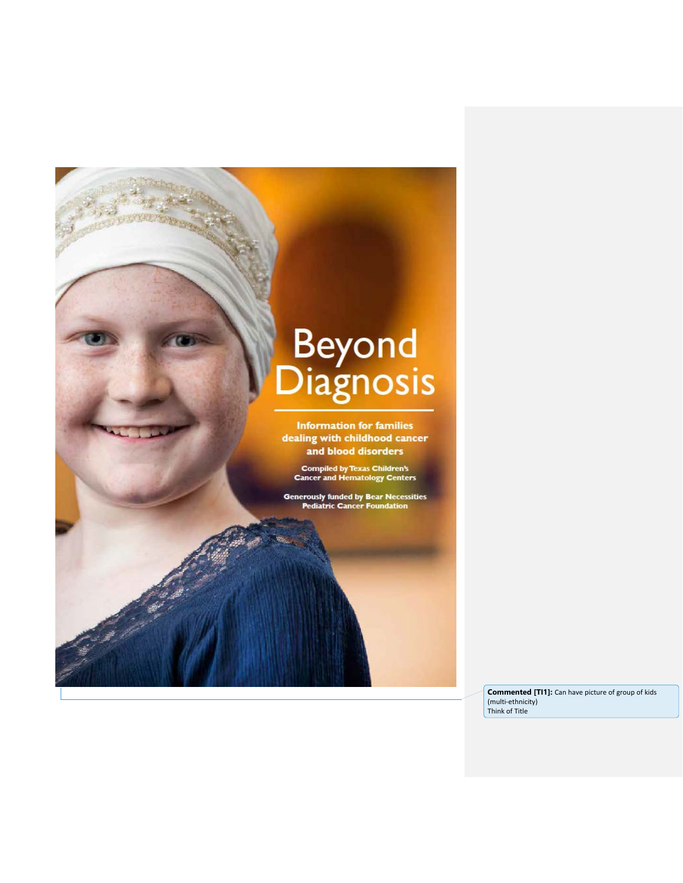# Beyond<br>Diagnosis

**Information for families** dealing with childhood cancer and blood disorders

**Compiled by Texas Children's<br>Cancer and Hematology Centers** 

Generously funded by Bear Necessities<br>Pediatric Cancer Foundation

**Commented [TI1]:** Can have picture of group of kids (multi-ethnicity) Think of Title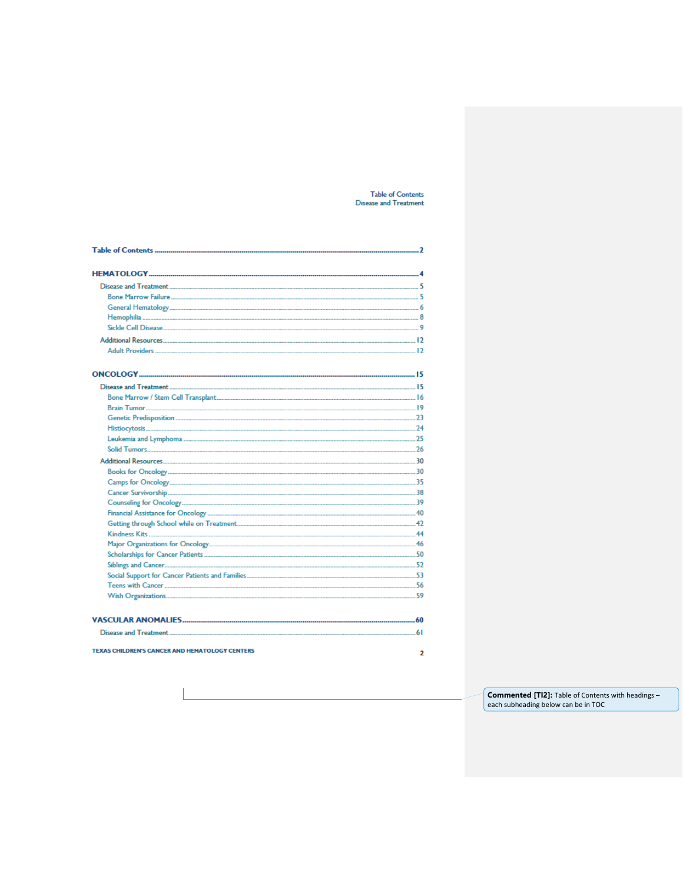# Table of Contents<br>Disease and Treatment

| Disease and Treatment 5                                                                                                   |   |
|---------------------------------------------------------------------------------------------------------------------------|---|
| Bone Marrow Failure <b>1986 - 1996 - 1997 - 1998 - 1999 - 1999 - 1999 - 1999 - 1999 - 1999 - 1999 - 1999 - 1999 - 199</b> |   |
|                                                                                                                           |   |
|                                                                                                                           |   |
| Sickle Cell Disease <b>1986 - 1999 - 1999 - 1999 - 1999 - 1999 - 1999</b> - 1999 - 1999 - 1999 - 1999 - 1999 - 1999 - 1   |   |
|                                                                                                                           |   |
|                                                                                                                           |   |
|                                                                                                                           |   |
|                                                                                                                           |   |
|                                                                                                                           |   |
|                                                                                                                           |   |
|                                                                                                                           |   |
|                                                                                                                           |   |
|                                                                                                                           |   |
|                                                                                                                           |   |
|                                                                                                                           |   |
|                                                                                                                           |   |
|                                                                                                                           |   |
|                                                                                                                           |   |
|                                                                                                                           |   |
|                                                                                                                           |   |
|                                                                                                                           |   |
|                                                                                                                           |   |
|                                                                                                                           |   |
|                                                                                                                           |   |
|                                                                                                                           |   |
|                                                                                                                           |   |
|                                                                                                                           |   |
|                                                                                                                           |   |
|                                                                                                                           |   |
|                                                                                                                           |   |
| <b>TEXAS CHILDREN'S CANCER AND HEMATOLOGY CENTERS</b>                                                                     | 2 |

**Commented [TI2]:** Table of Contents with headings – each subheading below can be in TOC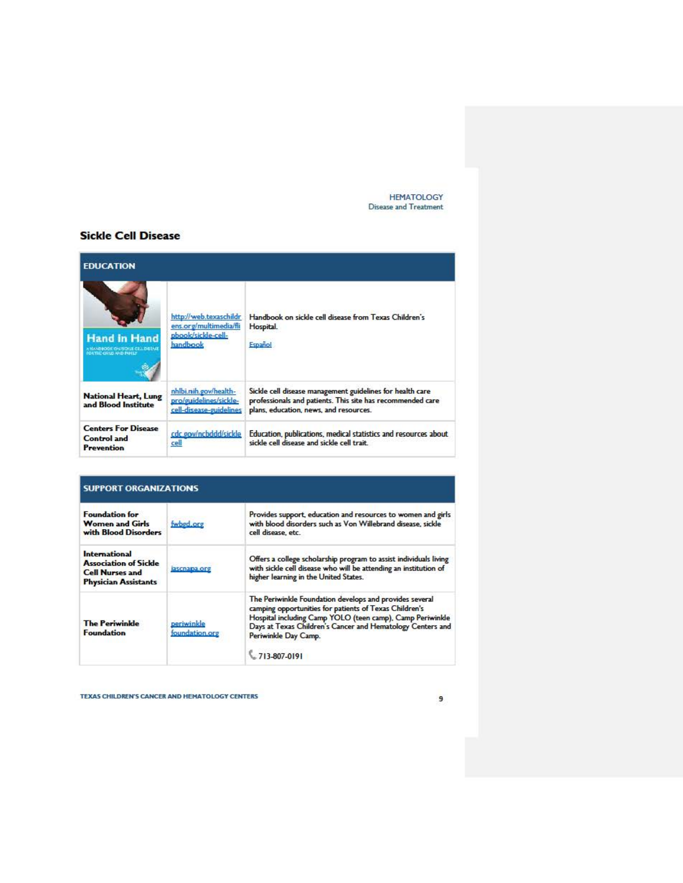HEMATOLOGY Disease and Treatment

# **Sickle Cell Disease**

| <b>EDUCATION</b>                                                            |                                                                                    |                                                                                                                                                                   |
|-----------------------------------------------------------------------------|------------------------------------------------------------------------------------|-------------------------------------------------------------------------------------------------------------------------------------------------------------------|
| <b>Hand in Hand</b><br>KNANDROOK OMTOUR CRILIDENAE<br>NORTHE CRUD AND PANEL | http://web.texaschildr<br>ens.org/multimedia/fli<br>pbook/sickle-cell-<br>handbook | Handbook on sickle cell disease from Texas Children's<br>Hospital.<br>Español                                                                                     |
| National Heart, Lung<br>and Blood Institute                                 | nhlbi.nih.gov/health-<br>pro/guidelines/sickle-<br>cell-disease-guidelines         | Sickle cell disease management guidelines for health care<br>professionals and patients. This site has recommended care<br>plans, education, news, and resources. |
| <b>Centers For Disease</b><br><b>Control</b> and<br><b>Prevention</b>       | cdc.gov/ncbddd/sickle<br>cell                                                      | Education, publications, medical statistics and resources about<br>sickle cell disease and sickle cell trait.                                                     |

| <b>SUPPORT ORGANIZATIONS</b>                                                                           |                              |                                                                                                                                                                                                                                                                                       |
|--------------------------------------------------------------------------------------------------------|------------------------------|---------------------------------------------------------------------------------------------------------------------------------------------------------------------------------------------------------------------------------------------------------------------------------------|
| <b>Foundation for</b><br><b>Women and Girls</b><br>with Blood Disorders                                | fwbød.org                    | Provides support, education and resources to women and girls<br>with blood disorders such as Von Willebrand disease, sickle<br>cell disease, etc.                                                                                                                                     |
| International<br><b>Association of Sickle</b><br><b>Cell Nurses and</b><br><b>Physician Assistants</b> | iascnapa.org                 | Offers a college scholarship program to assist individuals living<br>with sickle cell disease who will be attending an institution of<br>higher learning in the United States.                                                                                                        |
| <b>The Periwinkle</b><br><b>Foundation</b>                                                             | periwinkle<br>foundation.org | The Periwinkle Foundation develops and provides several<br>camping opportunities for patients of Texas Children's<br>Hospital including Camp YOLO (teen camp), Camp Periwinkle<br>Days at Texas Children's Cancer and Hematology Centers and<br>Periwinkle Day Camp.<br>$13-807-0191$ |

TEXAS CHILDREN'S CANCER AND HEMATOLOGY CENTERS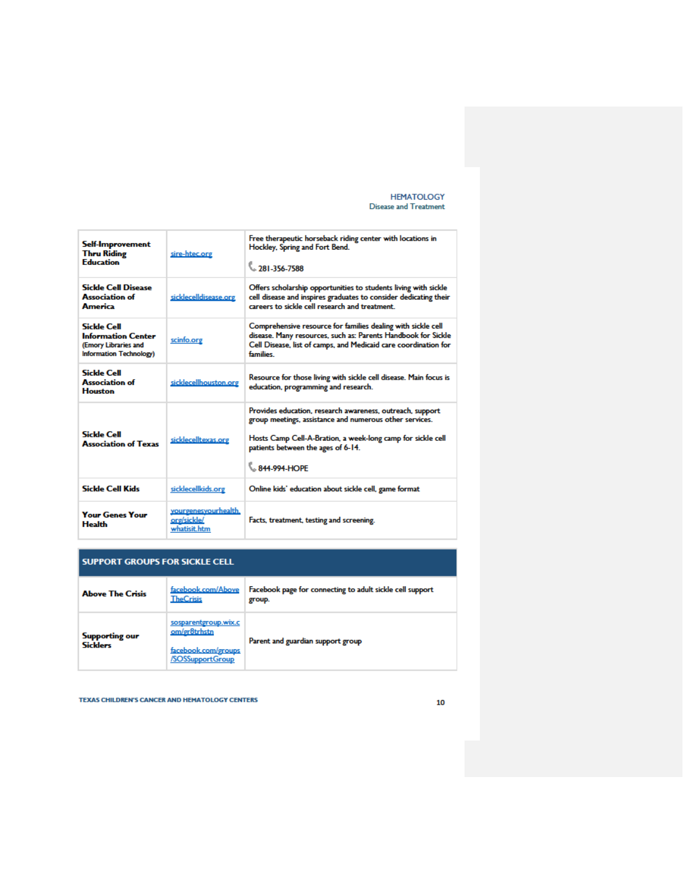**HEMATOLOGY Disease and Treatment** 

| Self-Improvement<br><b>Thru Riding</b><br><b>Education</b>                                  | sire-htec.org                                       | Free therapeutic horseback riding center with locations in<br>Hockley, Spring and Fort Bend.<br>381-356-7588                                                                                                                              |
|---------------------------------------------------------------------------------------------|-----------------------------------------------------|-------------------------------------------------------------------------------------------------------------------------------------------------------------------------------------------------------------------------------------------|
| <b>Sickle Cell Disease</b><br><b>Association of</b><br>America                              | sicklecelldisease.org                               | Offers scholarship opportunities to students living with sickle<br>cell disease and inspires graduates to consider dedicating their<br>careers to sickle cell research and treatment.                                                     |
| Sickle Cell<br><b>Information Center</b><br>(Emory Libraries and<br>Information Technology) | scinfo.org                                          | Comprehensive resource for families dealing with sickle cell<br>disease. Many resources, such as: Parents Handbook for Sickle<br>Cell Disease, list of camps, and Medicaid care coordination for<br>families                              |
| Sickle Cell<br>Association of<br><b>Houston</b>                                             | sicklecellhouston.org                               | Resource for those living with sickle cell disease. Main focus is<br>education, programming and research.                                                                                                                                 |
| Sickle Cell<br><b>Association of Texas</b>                                                  | sicklecelltexas.org                                 | Provides education, research awareness, outreach, support<br>group meetings, assistance and numerous other services.<br>Hosts Camp Cell-A-Bration, a week-long camp for sickle cell<br>patients between the ages of 6-14.<br>844-994-HOPF |
| <b>Sickle Cell Kids</b>                                                                     | sicklecellkids.org                                  | Online kids' education about sickle cell, game format                                                                                                                                                                                     |
| <b>Your Genes Your</b><br><b>Health</b>                                                     | yourgenesyourhealth.<br>org/sickle/<br>whatisit.htm | Facts, treatment, testing and screening.                                                                                                                                                                                                  |

## **SUPPORT GROUPS FOR SICKLE CELL**

| <b>Above The Crisis</b>                  | facebook.com/Above<br><b>TheCrisis</b>                                          | Facebook page for connecting to adult sickle cell support<br>group. |
|------------------------------------------|---------------------------------------------------------------------------------|---------------------------------------------------------------------|
| <b>Supporting our</b><br><b>Sicklers</b> | sosparentgroup.wix.c<br>om/gr8trhstn<br>facebook.com/groups<br>/SOSSupportGroup | Parent and guardian support group                                   |

TEXAS CHILDREN'S CANCER AND HEMATOLOGY CENTERS

#### ${\bf 10}$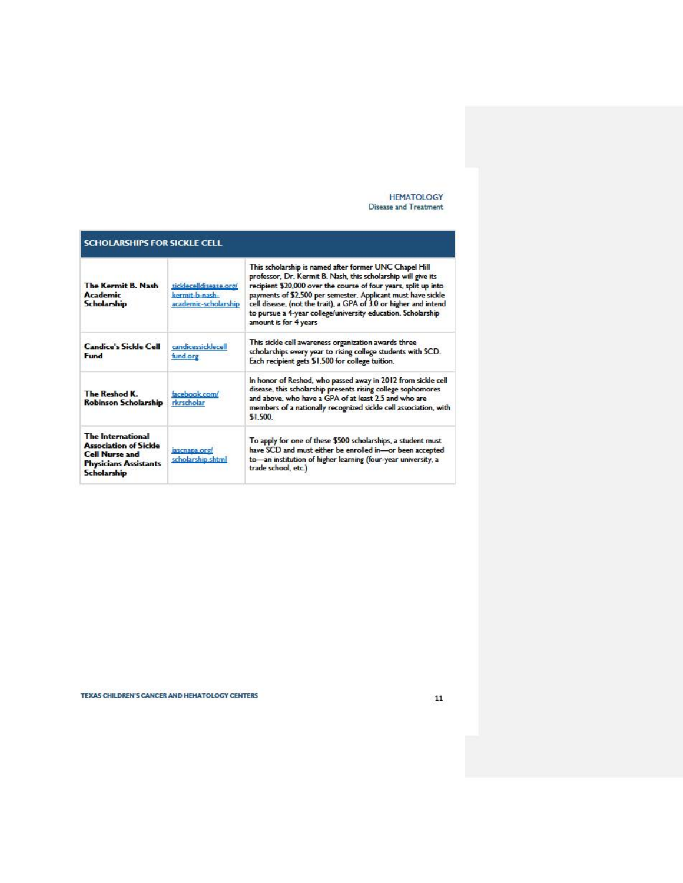#### HEMATOLOGY Disease and Treatment

| <b>SCHOLARSHIPS FOR SICKLE CELL</b>                                                                                              |                                                                  |                                                                                                                                                                                                                                                                                                                                                                                                                         |
|----------------------------------------------------------------------------------------------------------------------------------|------------------------------------------------------------------|-------------------------------------------------------------------------------------------------------------------------------------------------------------------------------------------------------------------------------------------------------------------------------------------------------------------------------------------------------------------------------------------------------------------------|
| The Kermit B. Nash<br><b>Academic</b><br><b>Scholarship</b>                                                                      | sicklecelldisease.org/<br>kermit-b-nash-<br>academic-scholarship | This scholarship is named after former UNC Chapel Hill<br>professor, Dr. Kermit B. Nash, this scholarship will give its<br>recipient \$20,000 over the course of four years, split up into<br>payments of \$2,500 per semester. Applicant must have sickle<br>cell disease, (not the trait), a GPA of 3.0 or higher and intend<br>to pursue a 4-year college/university education. Scholarship<br>amount is for 4 years |
| <b>Candice's Sickle Cell</b><br><b>Fund</b>                                                                                      | candicessicklecell<br>fund.org                                   | This sickle cell awareness organization awards three<br>scholarships every year to rising college students with SCD.<br>Each recipient gets \$1,500 for college tuition.                                                                                                                                                                                                                                                |
| The Reshod K.<br><b>Robinson Scholarship</b>                                                                                     | facebook.com/<br>rkrscholar                                      | In honor of Reshod, who passed away in 2012 from sickle cell<br>disease, this scholarship presents rising college sophomores<br>and above, who have a GPA of at least 2.5 and who are<br>members of a nationally recognized sickle cell association, with<br>\$1,500                                                                                                                                                    |
| The International<br><b>Association of Sickle</b><br><b>Cell Nurse and</b><br><b>Physicians Assistants</b><br><b>Scholarship</b> | iascnapa.org/<br>scholarship.shtml                               | To apply for one of these \$500 scholarships, a student must<br>have SCD and must either be enrolled in-or been accepted<br>to-an institution of higher learning (four-year university, a<br>trade school, etc.)                                                                                                                                                                                                        |

TEXAS CHILDREN'S CANCER AND HEMATOLOGY CENTERS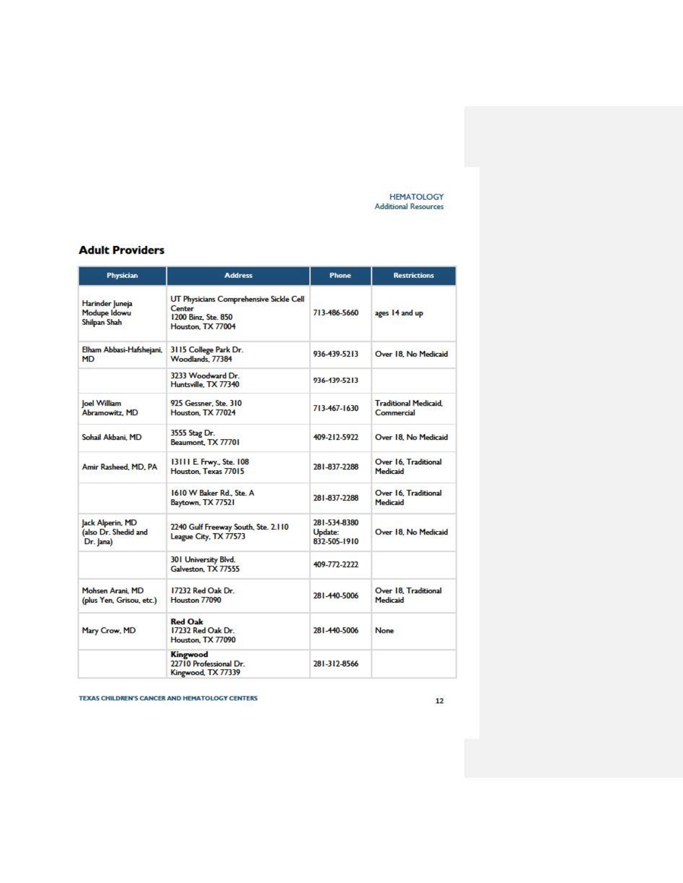**HEMATOLOGY Additional Resources** 

## **Adult Providers**

| Physician                                             | <b>Address</b>                                                                                | Phone                                   | <b>Restrictions</b>                       |
|-------------------------------------------------------|-----------------------------------------------------------------------------------------------|-----------------------------------------|-------------------------------------------|
| Harinder Juneja<br>Modupe Idowu<br>Shilpan Shah       | UT Physicians Comprehensive Sickle Cell<br>Center<br>1200 Binz, Ste. 850<br>Houston, TX 77004 | 713-486-5660                            | ages 14 and up                            |
| Elham Abbasi-Hafshejani,<br>MD                        | 3115 College Park Dr.<br>Woodlands, 77384                                                     | 936-439-5213                            | Over 18. No Medicaid                      |
|                                                       | 3233 Woodward Dr.<br>Huntsville, TX 77340                                                     | 936-439-5213                            |                                           |
| oel William<br>Abramowitz, MD                         | 925 Gessner, Ste. 310<br>Houston, TX 77024                                                    | 713-467-1630                            | <b>Traditional Medicaid</b><br>Commercial |
| Sohail Akbani, MD                                     | 3555 Stag Dr.<br>Beaumont, TX 77701                                                           | 409-212-5922                            | Over 18. No Medicaid                      |
| Amir Rasheed, MD, PA                                  | 13111 E. Frwy., Ste. 108<br>Houston, Texas 77015                                              | 281-837-2288                            | Over 16. Traditional<br>Medicaid          |
|                                                       | 1610 W Baker Rd., Ste. A<br>Baytown, TX 77521                                                 | 281-837-2288                            | Over 16. Traditional<br>Medicaid          |
| Jack Alperin, MD<br>(also Dr. Shedid and<br>Dr. Jana) | 2240 Gulf Freeway South, Ste. 2.110<br>League City, TX 77573                                  | 281-534-8380<br>Update:<br>832-505-1910 | Over 18. No Medicaid                      |
|                                                       | 301 University Blvd.<br>Galveston, TX 77555                                                   | 409-772-2222                            |                                           |
| Mohsen Arani, MD<br>(plus Yen, Grisou, etc.)          | 17232 Red Oak Dr.<br>Houston 77090                                                            | 281-440-5006                            | Over 18. Traditional<br>Medicaid          |
| Mary Crow, MD                                         | <b>Red Oak</b><br>17232 Red Oak Dr.<br>Houston, TX 77090                                      | 281-440-5006                            | None                                      |
|                                                       | Kingwood<br>22710 Professional Dr.<br>Kingwood, TX 77339                                      | 281-312-8566                            |                                           |

TEXAS CHILDREN'S CANCER AND HEMATOLOGY CENTERS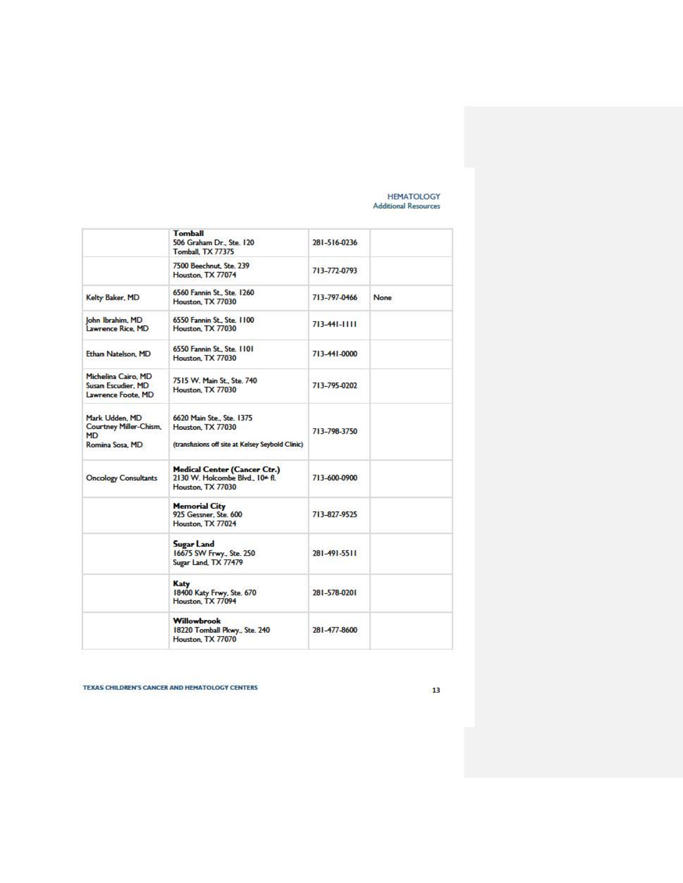#### HEMATOLOGY **Adctitional Resources**

|                                                                          | <b>Tomball</b><br>506 Graham Dr., Ste. 120<br>Tomball, TX 77375                                          | 281-516-0236       |      |
|--------------------------------------------------------------------------|----------------------------------------------------------------------------------------------------------|--------------------|------|
|                                                                          | 7500 Beechnut, Ste. 239<br>Houston, TX 77074                                                             | 713-772-0793       |      |
| Kelty Baker, MD                                                          | 6560 Fannin St., Ste. 1260<br>Houston, TX 77030                                                          | 713-797-0466       | None |
| John Ibrahim, MD<br>Lawrence Rice, MD                                    | 6550 Fannin St., Ste. 1100<br>Houston, TX 77030                                                          | $713 - 441 - 1111$ |      |
| Ethan Natelson, MD                                                       | 6550 Fannin St., Ste. 1101<br>Houston, TX 77030                                                          | 713-441-0000       |      |
| Michelina Cairo, MD<br>Susan Escudier, MD<br>Lawrence Foote, MD          | 7515 W. Main St., Ste. 740<br>Houston, TX 77030                                                          | 713-795-0202       |      |
| Mark Udden, MD<br>Courtney Miller-Chism,<br><b>MD</b><br>Romina Sosa, MD | 6620 Main Ste., Ste., 1375<br>Houston, TX 77030<br>(transfusions off site at Kelsey Seybold Clinic)      | 713-798-3750       |      |
| <b>Oncology Consultants</b>                                              | <b>Medical Center (Cancer Ctr.)</b><br>2130 W. Holcombe Blvd., 10 <sup>th</sup> fl.<br>Houston, TX 77030 | 713-600-0900       |      |
|                                                                          | <b>Memorial City</b><br>925 Gessner, Ste. 600<br>Houston, TX 77024                                       | 713-827-9525       |      |
|                                                                          | Sugar Land<br>16675 SW Frwy., Ste. 250<br>Sugar Land, TX 77479                                           | 281-491-5511       |      |
|                                                                          | Katy<br>18400 Katy Frwy, Ste. 670<br>Houston, TX 77094                                                   | 281-578-0201       |      |
|                                                                          | Willowbrook<br>18220 Tomball Pkwy., Ste. 240<br>Houston, TX 77070                                        | 281-477-8600       |      |

**TEXAS CHILDREN'S CANCER AND HEHATOLOGY CENTERS**